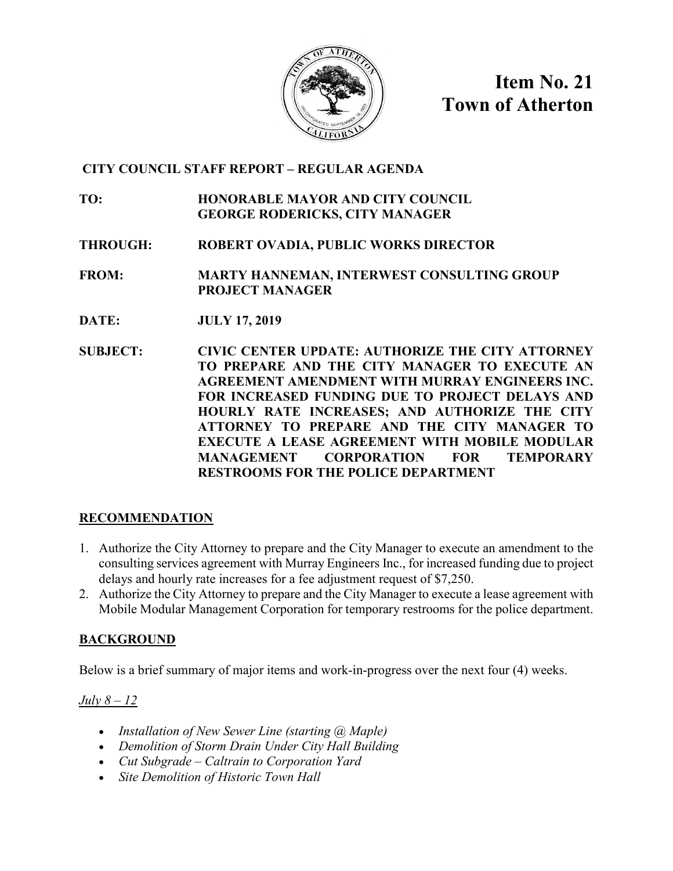

**Item No. 21 Town of Atherton**

# **CITY COUNCIL STAFF REPORT – REGULAR AGENDA**

**TO: HONORABLE MAYOR AND CITY COUNCIL GEORGE RODERICKS, CITY MANAGER**

**THROUGH: ROBERT OVADIA, PUBLIC WORKS DIRECTOR**

**FROM: MARTY HANNEMAN, INTERWEST CONSULTING GROUP PROJECT MANAGER**

- **DATE: JULY 17, 2019**
- **SUBJECT: CIVIC CENTER UPDATE: AUTHORIZE THE CITY ATTORNEY TO PREPARE AND THE CITY MANAGER TO EXECUTE AN AGREEMENT AMENDMENT WITH MURRAY ENGINEERS INC. FOR INCREASED FUNDING DUE TO PROJECT DELAYS AND HOURLY RATE INCREASES; AND AUTHORIZE THE CITY ATTORNEY TO PREPARE AND THE CITY MANAGER TO EXECUTE A LEASE AGREEMENT WITH MOBILE MODULAR MANAGEMENT CORPORATION FOR TEMPORARY RESTROOMS FOR THE POLICE DEPARTMENT**

# **RECOMMENDATION**

- 1. Authorize the City Attorney to prepare and the City Manager to execute an amendment to the consulting services agreement with Murray Engineers Inc., for increased funding due to project delays and hourly rate increases for a fee adjustment request of \$7,250.
- 2. Authorize the City Attorney to prepare and the City Manager to execute a lease agreement with Mobile Modular Management Corporation for temporary restrooms for the police department.

# **BACKGROUND**

Below is a brief summary of major items and work-in-progress over the next four (4) weeks.

*July 8 – 12*

- *Installation of New Sewer Line (starting @ Maple)*
- *Demolition of Storm Drain Under City Hall Building*
- *Cut Subgrade – Caltrain to Corporation Yard*
- *Site Demolition of Historic Town Hall*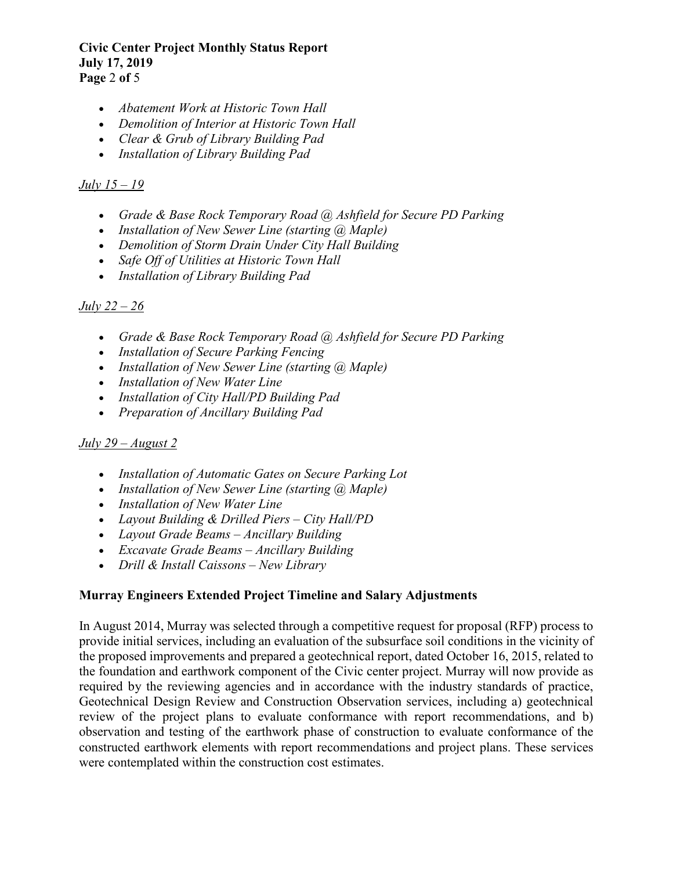### **Civic Center Project Monthly Status Report July 17, 2019 Page** 2 **of** 5

- *Abatement Work at Historic Town Hall*
- *Demolition of Interior at Historic Town Hall*
- *Clear & Grub of Library Building Pad*
- *Installation of Library Building Pad*

# *July 15 – 19*

- *Grade & Base Rock Temporary Road @ Ashfield for Secure PD Parking*
- *Installation of New Sewer Line (starting @ Maple)*
- *Demolition of Storm Drain Under City Hall Building*
- *Safe Off of Utilities at Historic Town Hall*
- *Installation of Library Building Pad*

# *July 22 – 26*

- *Grade & Base Rock Temporary Road @ Ashfield for Secure PD Parking*
- *Installation of Secure Parking Fencing*
- *Installation of New Sewer Line (starting @ Maple)*
- *Installation of New Water Line*
- *Installation of City Hall/PD Building Pad*
- *Preparation of Ancillary Building Pad*

# *July 29 – August 2*

- *Installation of Automatic Gates on Secure Parking Lot*
- *Installation of New Sewer Line (starting @ Maple)*
- *Installation of New Water Line*
- *Layout Building & Drilled Piers – City Hall/PD*
- *Layout Grade Beams – Ancillary Building*
- *Excavate Grade Beams – Ancillary Building*
- *Drill & Install Caissons – New Library*

# **Murray Engineers Extended Project Timeline and Salary Adjustments**

In August 2014, Murray was selected through a competitive request for proposal (RFP) process to provide initial services, including an evaluation of the subsurface soil conditions in the vicinity of the proposed improvements and prepared a geotechnical report, dated October 16, 2015, related to the foundation and earthwork component of the Civic center project. Murray will now provide as required by the reviewing agencies and in accordance with the industry standards of practice, Geotechnical Design Review and Construction Observation services, including a) geotechnical review of the project plans to evaluate conformance with report recommendations, and b) observation and testing of the earthwork phase of construction to evaluate conformance of the constructed earthwork elements with report recommendations and project plans. These services were contemplated within the construction cost estimates.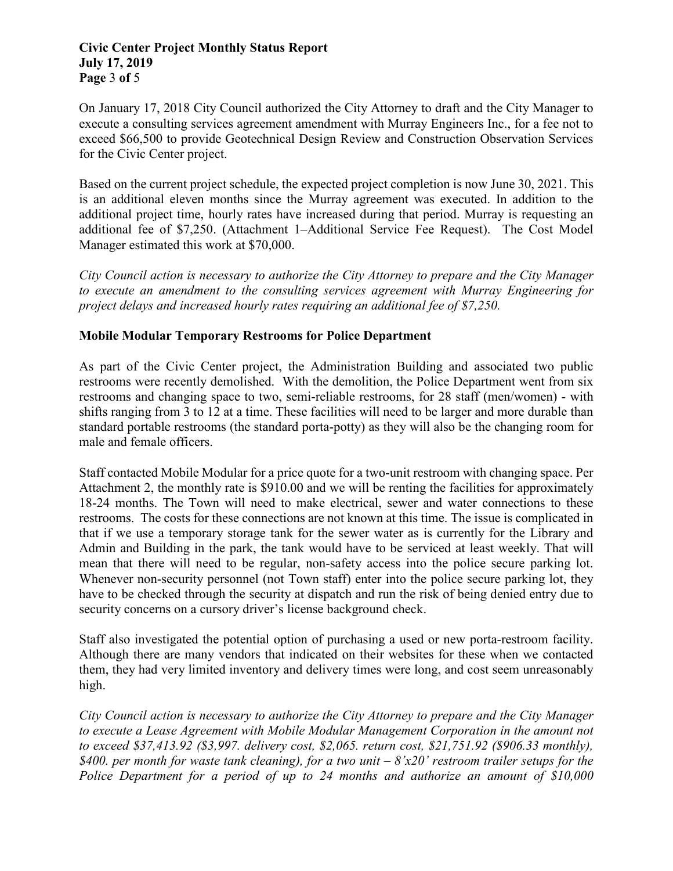### **Civic Center Project Monthly Status Report July 17, 2019 Page** 3 **of** 5

On January 17, 2018 City Council authorized the City Attorney to draft and the City Manager to execute a consulting services agreement amendment with Murray Engineers Inc., for a fee not to exceed \$66,500 to provide Geotechnical Design Review and Construction Observation Services for the Civic Center project.

Based on the current project schedule, the expected project completion is now June 30, 2021. This is an additional eleven months since the Murray agreement was executed. In addition to the additional project time, hourly rates have increased during that period. Murray is requesting an additional fee of \$7,250. (Attachment 1–Additional Service Fee Request). The Cost Model Manager estimated this work at \$70,000.

*City Council action is necessary to authorize the City Attorney to prepare and the City Manager to execute an amendment to the consulting services agreement with Murray Engineering for project delays and increased hourly rates requiring an additional fee of \$7,250.*

# **Mobile Modular Temporary Restrooms for Police Department**

As part of the Civic Center project, the Administration Building and associated two public restrooms were recently demolished. With the demolition, the Police Department went from six restrooms and changing space to two, semi-reliable restrooms, for 28 staff (men/women) - with shifts ranging from 3 to 12 at a time. These facilities will need to be larger and more durable than standard portable restrooms (the standard porta-potty) as they will also be the changing room for male and female officers.

Staff contacted Mobile Modular for a price quote for a two-unit restroom with changing space. Per Attachment 2, the monthly rate is \$910.00 and we will be renting the facilities for approximately 18-24 months. The Town will need to make electrical, sewer and water connections to these restrooms. The costs for these connections are not known at this time. The issue is complicated in that if we use a temporary storage tank for the sewer water as is currently for the Library and Admin and Building in the park, the tank would have to be serviced at least weekly. That will mean that there will need to be regular, non-safety access into the police secure parking lot. Whenever non-security personnel (not Town staff) enter into the police secure parking lot, they have to be checked through the security at dispatch and run the risk of being denied entry due to security concerns on a cursory driver's license background check.

Staff also investigated the potential option of purchasing a used or new porta-restroom facility. Although there are many vendors that indicated on their websites for these when we contacted them, they had very limited inventory and delivery times were long, and cost seem unreasonably high.

*City Council action is necessary to authorize the City Attorney to prepare and the City Manager to execute a Lease Agreement with Mobile Modular Management Corporation in the amount not to exceed \$37,413.92 (\$3,997. delivery cost, \$2,065. return cost, \$21,751.92 (\$906.33 monthly), \$400. per month for waste tank cleaning), for a two unit – 8'x20' restroom trailer setups for the Police Department for a period of up to 24 months and authorize an amount of \$10,000*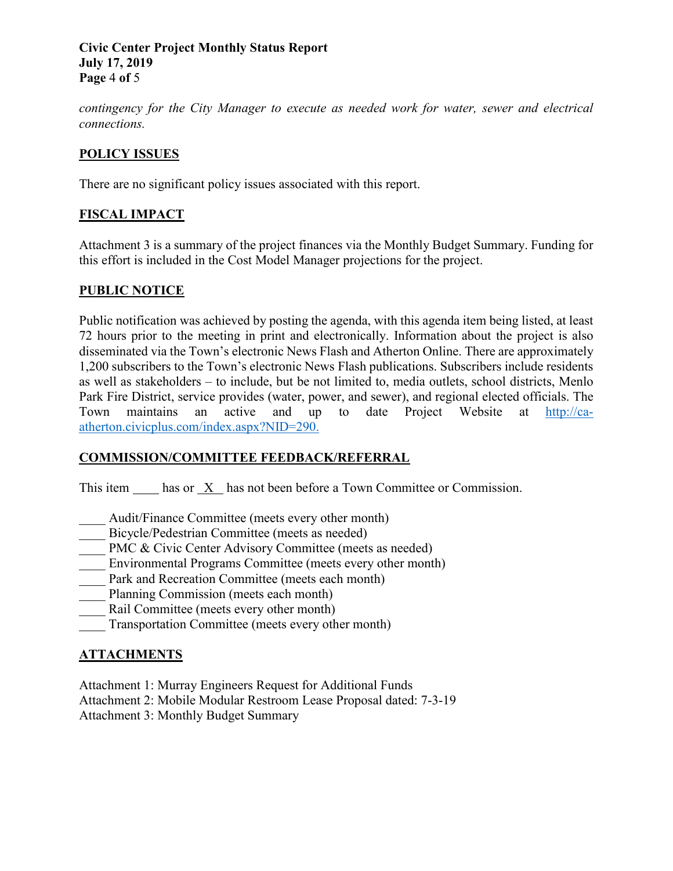### **Civic Center Project Monthly Status Report July 17, 2019 Page** 4 **of** 5

*contingency for the City Manager to execute as needed work for water, sewer and electrical connections.*

# **POLICY ISSUES**

There are no significant policy issues associated with this report.

# **FISCAL IMPACT**

Attachment 3 is a summary of the project finances via the Monthly Budget Summary. Funding for this effort is included in the Cost Model Manager projections for the project.

# **PUBLIC NOTICE**

Public notification was achieved by posting the agenda, with this agenda item being listed, at least 72 hours prior to the meeting in print and electronically. Information about the project is also disseminated via the Town's electronic News Flash and Atherton Online. There are approximately 1,200 subscribers to the Town's electronic News Flash publications. Subscribers include residents as well as stakeholders – to include, but be not limited to, media outlets, school districts, Menlo Park Fire District, service provides (water, power, and sewer), and regional elected officials. The Town maintains an active and up to date Project Website at [http://ca](http://ca-atherton.civicplus.com/index.aspx?NID=290)[atherton.civicplus.com/index.aspx?NID=290.](http://ca-atherton.civicplus.com/index.aspx?NID=290)

# **COMMISSION/COMMITTEE FEEDBACK/REFERRAL**

This item has or X has not been before a Town Committee or Commission.

- Audit/Finance Committee (meets every other month)
- Bicycle/Pedestrian Committee (meets as needed)
- \_\_\_\_ PMC & Civic Center Advisory Committee (meets as needed)
- Environmental Programs Committee (meets every other month)
- Park and Recreation Committee (meets each month)
- Planning Commission (meets each month)
- Rail Committee (meets every other month)
- \_\_\_\_ Transportation Committee (meets every other month)

# **ATTACHMENTS**

Attachment 1: Murray Engineers Request for Additional Funds Attachment 2: Mobile Modular Restroom Lease Proposal dated: 7-3-19 Attachment 3: Monthly Budget Summary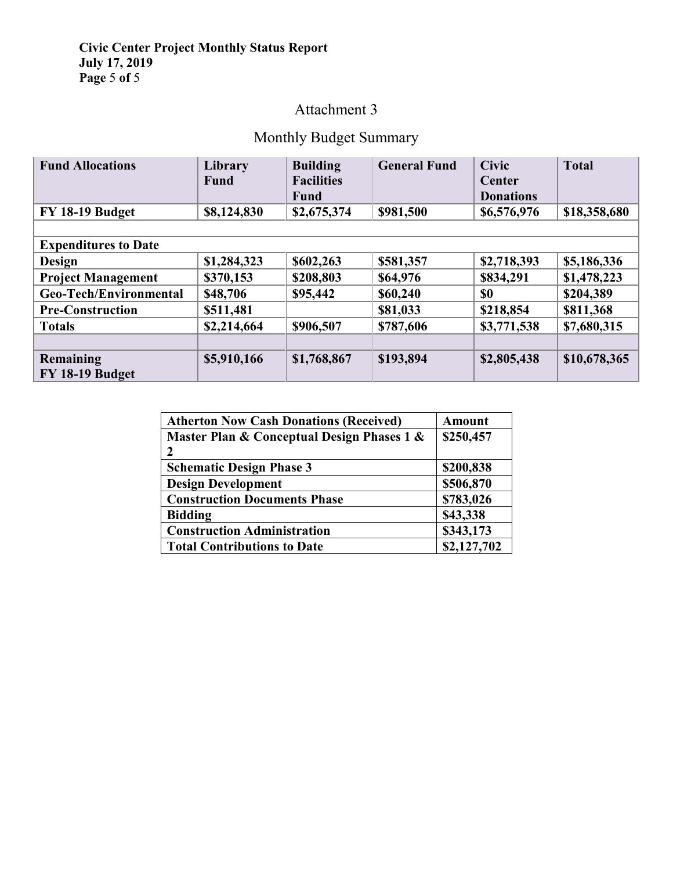## **Civic Center Project Monthly Status Report July 17, 2019 Page** 5 **of** 5

# Attachment 3

# Monthly Budget Summary

| <b>Fund Allocations</b>     | Library     | <b>Building</b>   | <b>General Fund</b> | <b>Civic</b>     | <b>Total</b> |
|-----------------------------|-------------|-------------------|---------------------|------------------|--------------|
|                             | <b>Fund</b> | <b>Facilities</b> |                     | Center           |              |
|                             |             | <b>Fund</b>       |                     | <b>Donations</b> |              |
| FY 18-19 Budget             | \$8,124,830 | \$2,675,374       | \$981,500           | \$6,576,976      | \$18,358,680 |
|                             |             |                   |                     |                  |              |
| <b>Expenditures to Date</b> |             |                   |                     |                  |              |
| <b>Design</b>               | \$1,284,323 | \$602,263         | \$581,357           | \$2,718,393      | \$5,186,336  |
| <b>Project Management</b>   | \$370,153   | \$208,803         | \$64,976            | \$834,291        | \$1,478,223  |
| Geo-Tech/Environmental      | \$48,706    | \$95,442          | \$60,240            | \$0              | \$204,389    |
| <b>Pre-Construction</b>     | \$511,481   |                   | \$81,033            | \$218,854        | \$811,368    |
| <b>Totals</b>               | \$2,214,664 | \$906,507         | \$787,606           | \$3,771,538      | \$7,680,315  |
|                             |             |                   |                     |                  |              |
| Remaining                   | \$5,910,166 | \$1,768,867       | \$193,894           | \$2,805,438      | \$10,678,365 |
| FY 18-19 Budget             |             |                   |                     |                  |              |

| <b>Atherton Now Cash Donations (Received)</b> | <b>Amount</b> |
|-----------------------------------------------|---------------|
| Master Plan & Conceptual Design Phases 1 &    | \$250,457     |
| 2                                             |               |
| <b>Schematic Design Phase 3</b>               | \$200,838     |
| <b>Design Development</b>                     | \$506,870     |
| <b>Construction Documents Phase</b>           | \$783,026     |
| <b>Bidding</b>                                | \$43,338      |
| <b>Construction Administration</b>            | \$343,173     |
| <b>Total Contributions to Date</b>            | \$2,127,702   |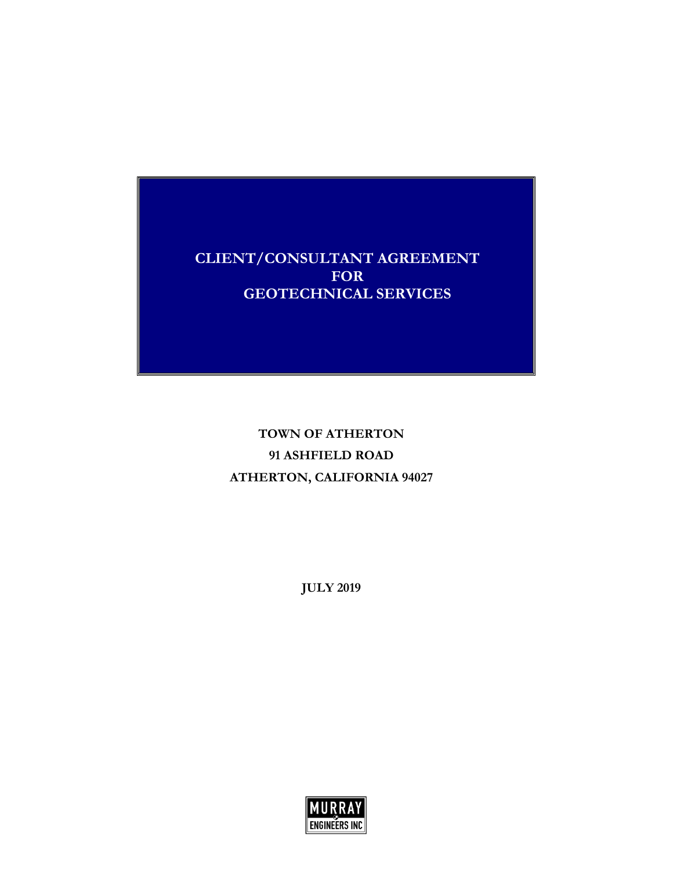**CLIENT/CONSULTANT AGREEMENT FOR GEOTECHNICAL SERVICES**

> **TOWN OF ATHERTON 91 ASHFIELD ROAD ATHERTON, CALIFORNIA 94027**

> > **JULY 2019**

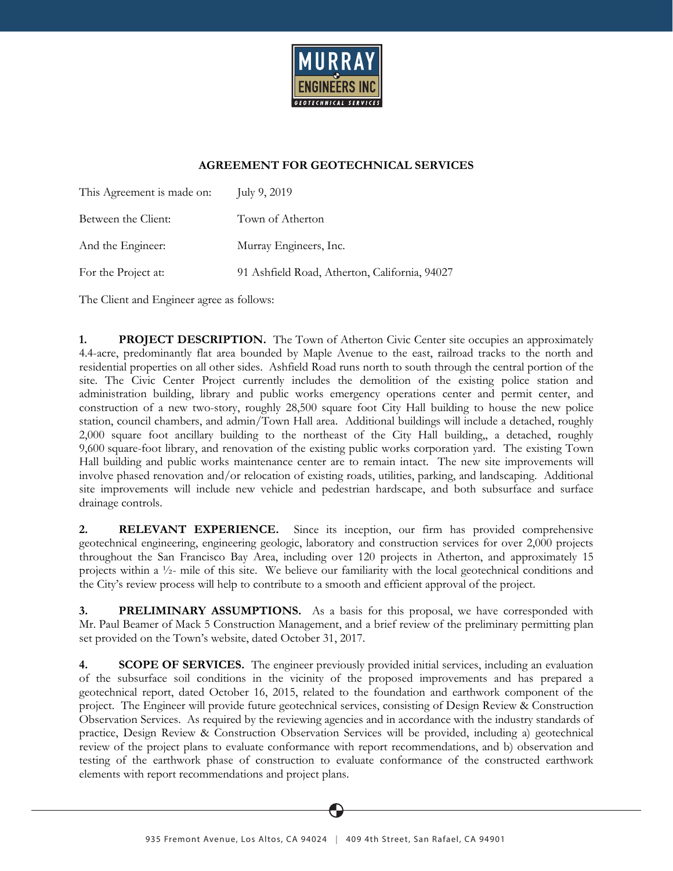

### **AGREEMENT FOR GEOTECHNICAL SERVICES**

| This Agreement is made on: | July 9, $2019$                                |
|----------------------------|-----------------------------------------------|
| Between the Client:        | Town of Atherton                              |
| And the Engineer:          | Murray Engineers, Inc.                        |
| For the Project at:        | 91 Ashfield Road, Atherton, California, 94027 |

The Client and Engineer agree as follows:

**1. PROJECT DESCRIPTION.** The Town of Atherton Civic Center site occupies an approximately 4.4-acre, predominantly flat area bounded by Maple Avenue to the east, railroad tracks to the north and residential properties on all other sides. Ashfield Road runs north to south through the central portion of the site. The Civic Center Project currently includes the demolition of the existing police station and administration building, library and public works emergency operations center and permit center, and construction of a new two-story, roughly 28,500 square foot City Hall building to house the new police station, council chambers, and admin/Town Hall area. Additional buildings will include a detached, roughly 2,000 square foot ancillary building to the northeast of the City Hall building,, a detached, roughly 9,600 square-foot library, and renovation of the existing public works corporation yard. The existing Town Hall building and public works maintenance center are to remain intact. The new site improvements will involve phased renovation and/or relocation of existing roads, utilities, parking, and landscaping. Additional site improvements will include new vehicle and pedestrian hardscape, and both subsurface and surface drainage controls.

**2. RELEVANT EXPERIENCE.** Since its inception, our firm has provided comprehensive geotechnical engineering, engineering geologic, laboratory and construction services for over 2,000 projects throughout the San Francisco Bay Area, including over 120 projects in Atherton, and approximately 15 projects within a ½- mile of this site. We believe our familiarity with the local geotechnical conditions and the City's review process will help to contribute to a smooth and efficient approval of the project.

**3. PRELIMINARY ASSUMPTIONS.** As a basis for this proposal, we have corresponded with Mr. Paul Beamer of Mack 5 Construction Management, and a brief review of the preliminary permitting plan set provided on the Town's website, dated October 31, 2017.

**4. SCOPE OF SERVICES.** The engineer previously provided initial services, including an evaluation of the subsurface soil conditions in the vicinity of the proposed improvements and has prepared a geotechnical report, dated October 16, 2015, related to the foundation and earthwork component of the project. The Engineer will provide future geotechnical services, consisting of Design Review & Construction Observation Services. As required by the reviewing agencies and in accordance with the industry standards of practice, Design Review & Construction Observation Services will be provided, including a) geotechnical review of the project plans to evaluate conformance with report recommendations, and b) observation and testing of the earthwork phase of construction to evaluate conformance of the constructed earthwork elements with report recommendations and project plans.

935 Fremont Avenue, Los Altos, CA 94024 | 409 4th Street, San Rafael, CA 94901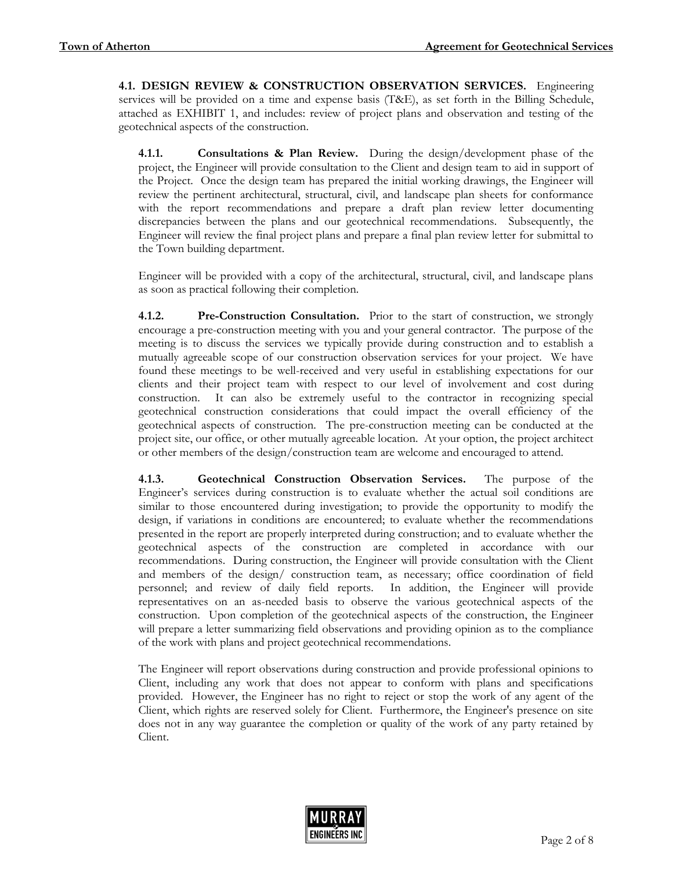**4.1. DESIGN REVIEW & CONSTRUCTION OBSERVATION SERVICES.** Engineering services will be provided on a time and expense basis (T&E), as set forth in the Billing Schedule, attached as EXHIBIT 1, and includes: review of project plans and observation and testing of the geotechnical aspects of the construction.

**4.1.1. Consultations & Plan Review.** During the design/development phase of the project, the Engineer will provide consultation to the Client and design team to aid in support of the Project. Once the design team has prepared the initial working drawings, the Engineer will review the pertinent architectural, structural, civil, and landscape plan sheets for conformance with the report recommendations and prepare a draft plan review letter documenting discrepancies between the plans and our geotechnical recommendations. Subsequently, the Engineer will review the final project plans and prepare a final plan review letter for submittal to the Town building department.

Engineer will be provided with a copy of the architectural, structural, civil, and landscape plans as soon as practical following their completion.

**4.1.2. Pre-Construction Consultation.** Prior to the start of construction, we strongly encourage a pre-construction meeting with you and your general contractor. The purpose of the meeting is to discuss the services we typically provide during construction and to establish a mutually agreeable scope of our construction observation services for your project. We have found these meetings to be well-received and very useful in establishing expectations for our clients and their project team with respect to our level of involvement and cost during construction. It can also be extremely useful to the contractor in recognizing special geotechnical construction considerations that could impact the overall efficiency of the geotechnical aspects of construction. The pre-construction meeting can be conducted at the project site, our office, or other mutually agreeable location. At your option, the project architect or other members of the design/construction team are welcome and encouraged to attend.

**4.1.3. Geotechnical Construction Observation Services.** The purpose of the Engineer's services during construction is to evaluate whether the actual soil conditions are similar to those encountered during investigation; to provide the opportunity to modify the design, if variations in conditions are encountered; to evaluate whether the recommendations presented in the report are properly interpreted during construction; and to evaluate whether the geotechnical aspects of the construction are completed in accordance with our recommendations. During construction, the Engineer will provide consultation with the Client and members of the design/ construction team, as necessary; office coordination of field personnel; and review of daily field reports. In addition, the Engineer will provide representatives on an as-needed basis to observe the various geotechnical aspects of the construction. Upon completion of the geotechnical aspects of the construction, the Engineer will prepare a letter summarizing field observations and providing opinion as to the compliance of the work with plans and project geotechnical recommendations.

The Engineer will report observations during construction and provide professional opinions to Client, including any work that does not appear to conform with plans and specifications provided. However, the Engineer has no right to reject or stop the work of any agent of the Client, which rights are reserved solely for Client. Furthermore, the Engineer's presence on site does not in any way guarantee the completion or quality of the work of any party retained by Client.

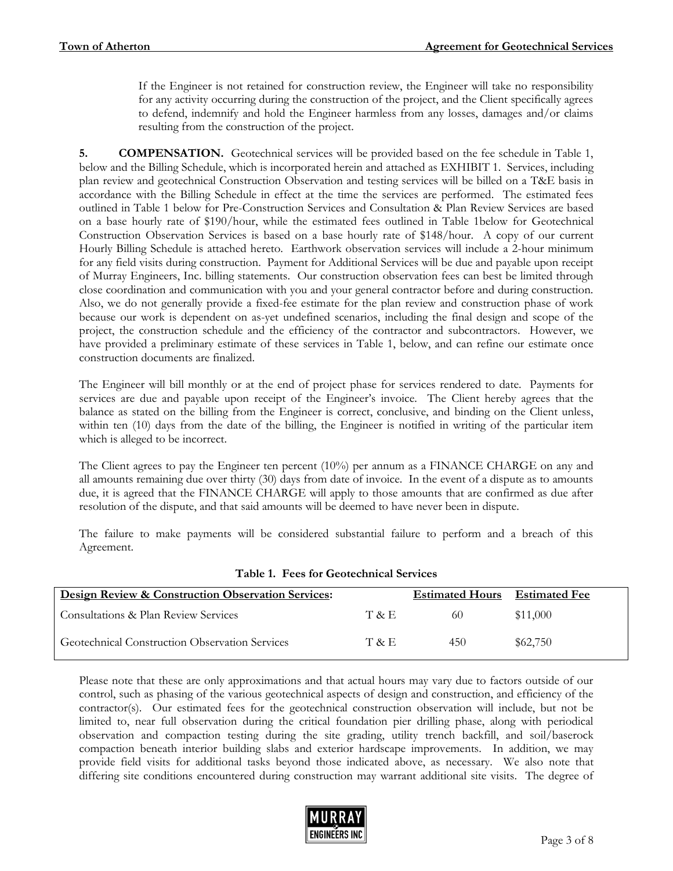If the Engineer is not retained for construction review, the Engineer will take no responsibility for any activity occurring during the construction of the project, and the Client specifically agrees to defend, indemnify and hold the Engineer harmless from any losses, damages and/or claims resulting from the construction of the project.

**5. COMPENSATION.** Geotechnical services will be provided based on the fee schedule in Table 1, below and the Billing Schedule, which is incorporated herein and attached as EXHIBIT 1. Services, including plan review and geotechnical Construction Observation and testing services will be billed on a T&E basis in accordance with the Billing Schedule in effect at the time the services are performed. The estimated fees outlined in Table 1 below for Pre-Construction Services and Consultation & Plan Review Services are based on a base hourly rate of \$190/hour, while the estimated fees outlined in Table 1below for Geotechnical Construction Observation Services is based on a base hourly rate of \$148/hour. A copy of our current Hourly Billing Schedule is attached hereto. Earthwork observation services will include a 2-hour minimum for any field visits during construction. Payment for Additional Services will be due and payable upon receipt of Murray Engineers, Inc. billing statements. Our construction observation fees can best be limited through close coordination and communication with you and your general contractor before and during construction. Also, we do not generally provide a fixed-fee estimate for the plan review and construction phase of work because our work is dependent on as-yet undefined scenarios, including the final design and scope of the project, the construction schedule and the efficiency of the contractor and subcontractors. However, we have provided a preliminary estimate of these services in Table 1, below, and can refine our estimate once construction documents are finalized.

The Engineer will bill monthly or at the end of project phase for services rendered to date. Payments for services are due and payable upon receipt of the Engineer's invoice. The Client hereby agrees that the balance as stated on the billing from the Engineer is correct, conclusive, and binding on the Client unless, within ten (10) days from the date of the billing, the Engineer is notified in writing of the particular item which is alleged to be incorrect.

The Client agrees to pay the Engineer ten percent (10%) per annum as a FINANCE CHARGE on any and all amounts remaining due over thirty (30) days from date of invoice. In the event of a dispute as to amounts due, it is agreed that the FINANCE CHARGE will apply to those amounts that are confirmed as due after resolution of the dispute, and that said amounts will be deemed to have never been in dispute.

The failure to make payments will be considered substantial failure to perform and a breach of this Agreement.

| Design Review & Construction Observation Services: |       | <b>Estimated Hours</b> | <b>Estimated Fee</b> |
|----------------------------------------------------|-------|------------------------|----------------------|
| Consultations & Plan Review Services               | T & E | 60                     | \$11,000             |
| Geotechnical Construction Observation Services     | T & E | 450                    | \$62,750             |

### **Table 1. Fees for Geotechnical Services**

Please note that these are only approximations and that actual hours may vary due to factors outside of our control, such as phasing of the various geotechnical aspects of design and construction, and efficiency of the contractor(s). Our estimated fees for the geotechnical construction observation will include, but not be limited to, near full observation during the critical foundation pier drilling phase, along with periodical observation and compaction testing during the site grading, utility trench backfill, and soil/baserock compaction beneath interior building slabs and exterior hardscape improvements. In addition, we may provide field visits for additional tasks beyond those indicated above, as necessary. We also note that differing site conditions encountered during construction may warrant additional site visits. The degree of

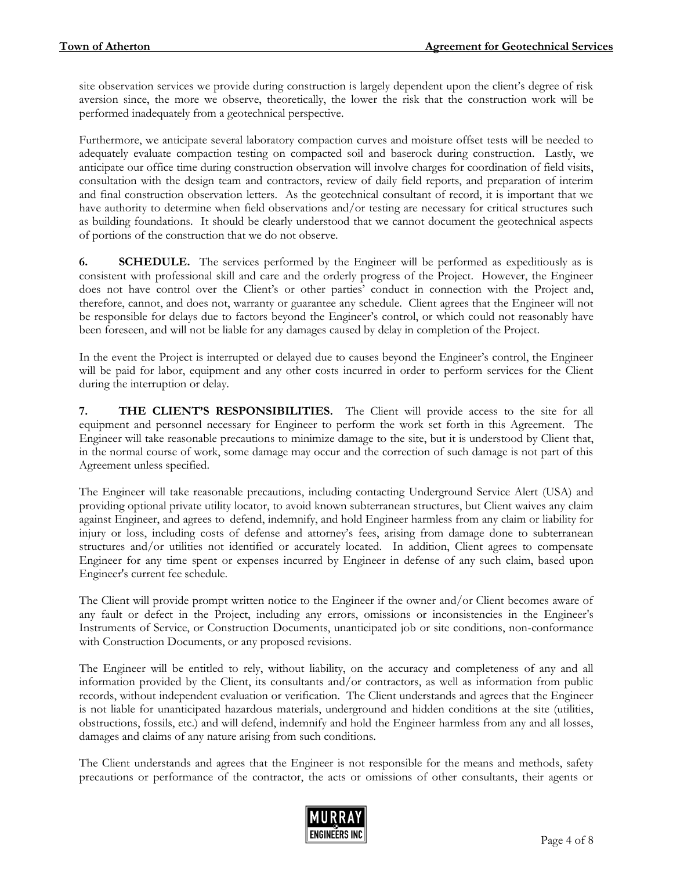site observation services we provide during construction is largely dependent upon the client's degree of risk aversion since, the more we observe, theoretically, the lower the risk that the construction work will be performed inadequately from a geotechnical perspective.

Furthermore, we anticipate several laboratory compaction curves and moisture offset tests will be needed to adequately evaluate compaction testing on compacted soil and baserock during construction. Lastly, we anticipate our office time during construction observation will involve charges for coordination of field visits, consultation with the design team and contractors, review of daily field reports, and preparation of interim and final construction observation letters. As the geotechnical consultant of record, it is important that we have authority to determine when field observations and/or testing are necessary for critical structures such as building foundations. It should be clearly understood that we cannot document the geotechnical aspects of portions of the construction that we do not observe.

**6. SCHEDULE.** The services performed by the Engineer will be performed as expeditiously as is consistent with professional skill and care and the orderly progress of the Project. However, the Engineer does not have control over the Client's or other parties' conduct in connection with the Project and, therefore, cannot, and does not, warranty or guarantee any schedule. Client agrees that the Engineer will not be responsible for delays due to factors beyond the Engineer's control, or which could not reasonably have been foreseen, and will not be liable for any damages caused by delay in completion of the Project.

In the event the Project is interrupted or delayed due to causes beyond the Engineer's control, the Engineer will be paid for labor, equipment and any other costs incurred in order to perform services for the Client during the interruption or delay.

**7. THE CLIENT'S RESPONSIBILITIES.** The Client will provide access to the site for all equipment and personnel necessary for Engineer to perform the work set forth in this Agreement. The Engineer will take reasonable precautions to minimize damage to the site, but it is understood by Client that, in the normal course of work, some damage may occur and the correction of such damage is not part of this Agreement unless specified.

The Engineer will take reasonable precautions, including contacting Underground Service Alert (USA) and providing optional private utility locator, to avoid known subterranean structures, but Client waives any claim against Engineer, and agrees to defend, indemnify, and hold Engineer harmless from any claim or liability for injury or loss, including costs of defense and attorney's fees, arising from damage done to subterranean structures and/or utilities not identified or accurately located. In addition, Client agrees to compensate Engineer for any time spent or expenses incurred by Engineer in defense of any such claim, based upon Engineer's current fee schedule.

The Client will provide prompt written notice to the Engineer if the owner and/or Client becomes aware of any fault or defect in the Project, including any errors, omissions or inconsistencies in the Engineer's Instruments of Service, or Construction Documents, unanticipated job or site conditions, non-conformance with Construction Documents, or any proposed revisions.

The Engineer will be entitled to rely, without liability, on the accuracy and completeness of any and all information provided by the Client, its consultants and/or contractors, as well as information from public records, without independent evaluation or verification. The Client understands and agrees that the Engineer is not liable for unanticipated hazardous materials, underground and hidden conditions at the site (utilities, obstructions, fossils, etc.) and will defend, indemnify and hold the Engineer harmless from any and all losses, damages and claims of any nature arising from such conditions.

The Client understands and agrees that the Engineer is not responsible for the means and methods, safety precautions or performance of the contractor, the acts or omissions of other consultants, their agents or

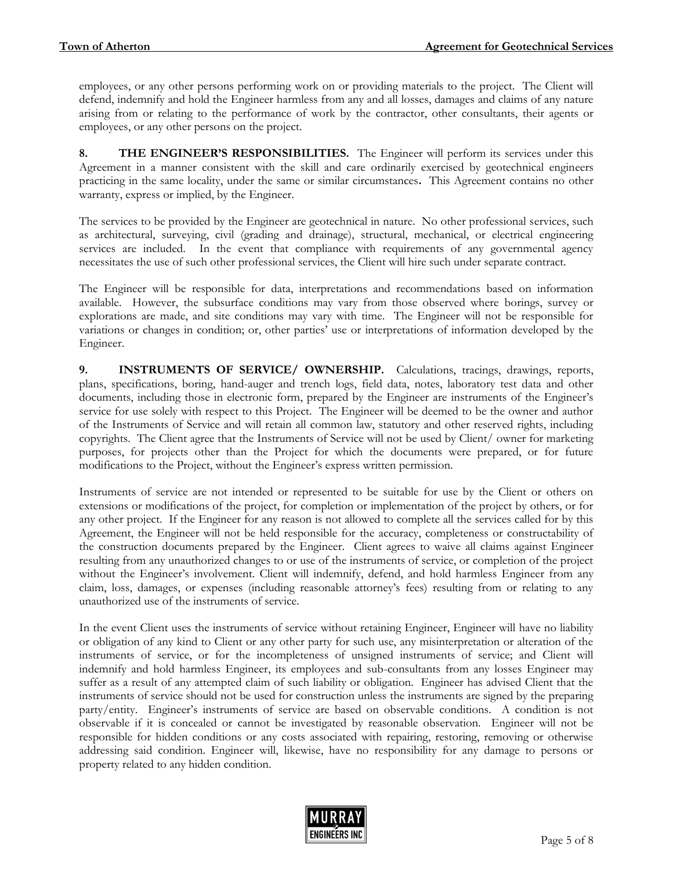employees, or any other persons performing work on or providing materials to the project. The Client will defend, indemnify and hold the Engineer harmless from any and all losses, damages and claims of any nature arising from or relating to the performance of work by the contractor, other consultants, their agents or employees, or any other persons on the project.

**8. THE ENGINEER'S RESPONSIBILITIES.** The Engineer will perform its services under this Agreement in a manner consistent with the skill and care ordinarily exercised by geotechnical engineers practicing in the same locality, under the same or similar circumstances**.** This Agreement contains no other warranty, express or implied, by the Engineer.

The services to be provided by the Engineer are geotechnical in nature. No other professional services, such as architectural, surveying, civil (grading and drainage), structural, mechanical, or electrical engineering services are included. In the event that compliance with requirements of any governmental agency necessitates the use of such other professional services, the Client will hire such under separate contract.

The Engineer will be responsible for data, interpretations and recommendations based on information available. However, the subsurface conditions may vary from those observed where borings, survey or explorations are made, and site conditions may vary with time. The Engineer will not be responsible for variations or changes in condition; or, other parties' use or interpretations of information developed by the Engineer.

**9. INSTRUMENTS OF SERVICE/ OWNERSHIP.** Calculations, tracings, drawings, reports, plans, specifications, boring, hand-auger and trench logs, field data, notes, laboratory test data and other documents, including those in electronic form, prepared by the Engineer are instruments of the Engineer's service for use solely with respect to this Project. The Engineer will be deemed to be the owner and author of the Instruments of Service and will retain all common law, statutory and other reserved rights, including copyrights. The Client agree that the Instruments of Service will not be used by Client/ owner for marketing purposes, for projects other than the Project for which the documents were prepared, or for future modifications to the Project, without the Engineer's express written permission.

Instruments of service are not intended or represented to be suitable for use by the Client or others on extensions or modifications of the project, for completion or implementation of the project by others, or for any other project. If the Engineer for any reason is not allowed to complete all the services called for by this Agreement, the Engineer will not be held responsible for the accuracy, completeness or constructability of the construction documents prepared by the Engineer. Client agrees to waive all claims against Engineer resulting from any unauthorized changes to or use of the instruments of service, or completion of the project without the Engineer's involvement. Client will indemnify, defend, and hold harmless Engineer from any claim, loss, damages, or expenses (including reasonable attorney's fees) resulting from or relating to any unauthorized use of the instruments of service.

In the event Client uses the instruments of service without retaining Engineer, Engineer will have no liability or obligation of any kind to Client or any other party for such use, any misinterpretation or alteration of the instruments of service, or for the incompleteness of unsigned instruments of service; and Client will indemnify and hold harmless Engineer, its employees and sub-consultants from any losses Engineer may suffer as a result of any attempted claim of such liability or obligation. Engineer has advised Client that the instruments of service should not be used for construction unless the instruments are signed by the preparing party/entity. Engineer's instruments of service are based on observable conditions. A condition is not observable if it is concealed or cannot be investigated by reasonable observation. Engineer will not be responsible for hidden conditions or any costs associated with repairing, restoring, removing or otherwise addressing said condition. Engineer will, likewise, have no responsibility for any damage to persons or property related to any hidden condition.

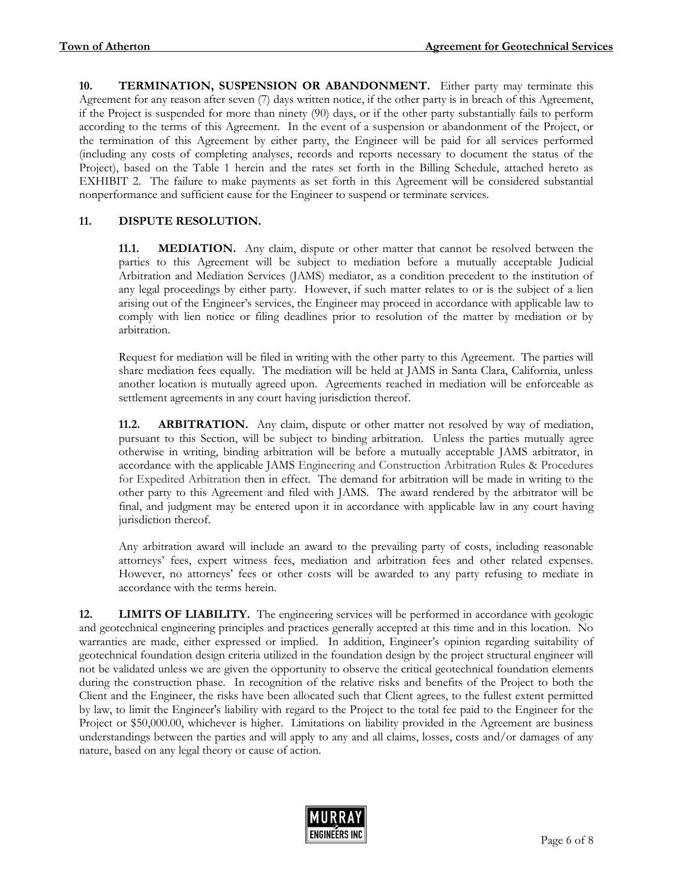**10. TERMINATION, SUSPENSION OR ABANDONMENT.** Either party may terminate this Agreement for any reason after seven (7) days written notice, if the other party is in breach of this Agreement, if the Project is suspended for more than ninety (90) days, or if the other party substantially fails to perform according to the terms of this Agreement. In the event of a suspension or abandonment of the Project, or the termination of this Agreement by either party, the Engineer will be paid for all services performed (including any costs of completing analyses, records and reports necessary to document the status of the Project), based on the Table 1 herein and the rates set forth in the Billing Schedule, attached hereto as EXHIBIT 2. The failure to make payments as set forth in this Agreement will be considered substantial nonperformance and sufficient cause for the Engineer to suspend or terminate services.

### **11. DISPUTE RESOLUTION.**

**11.1. MEDIATION.** Any claim, dispute or other matter that cannot be resolved between the parties to this Agreement will be subject to mediation before a mutually acceptable Judicial Arbitration and Mediation Services (JAMS) mediator, as a condition precedent to the institution of any legal proceedings by either party. However, if such matter relates to or is the subject of a lien arising out of the Engineer's services, the Engineer may proceed in accordance with applicable law to comply with lien notice or filing deadlines prior to resolution of the matter by mediation or by arbitration.

Request for mediation will be filed in writing with the other party to this Agreement. The parties will share mediation fees equally. The mediation will be held at JAMS in Santa Clara, California, unless another location is mutually agreed upon. Agreements reached in mediation will be enforceable as settlement agreements in any court having jurisdiction thereof.

**11.2. ARBITRATION.** Any claim, dispute or other matter not resolved by way of mediation, pursuant to this Section, will be subject to binding arbitration. Unless the parties mutually agree otherwise in writing, binding arbitration will be before a mutually acceptable JAMS arbitrator, in accordance with the applicable JAMS Engineering and Construction Arbitration Rules & Procedures for Expedited Arbitration then in effect. The demand for arbitration will be made in writing to the other party to this Agreement and filed with JAMS. The award rendered by the arbitrator will be final, and judgment may be entered upon it in accordance with applicable law in any court having jurisdiction thereof.

Any arbitration award will include an award to the prevailing party of costs, including reasonable attorneys' fees, expert witness fees, mediation and arbitration fees and other related expenses. However, no attorneys' fees or other costs will be awarded to any party refusing to mediate in accordance with the terms herein.

**12. LIMITS OF LIABILITY.** The engineering services will be performed in accordance with geologic and geotechnical engineering principles and practices generally accepted at this time and in this location. No warranties are made, either expressed or implied. In addition, Engineer's opinion regarding suitability of geotechnical foundation design criteria utilized in the foundation design by the project structural engineer will not be validated unless we are given the opportunity to observe the critical geotechnical foundation elements during the construction phase. In recognition of the relative risks and benefits of the Project to both the Client and the Engineer, the risks have been allocated such that Client agrees, to the fullest extent permitted by law, to limit the Engineer's liability with regard to the Project to the total fee paid to the Engineer for the Project or \$50,000.00, whichever is higher. Limitations on liability provided in the Agreement are business understandings between the parties and will apply to any and all claims, losses, costs and/or damages of any nature, based on any legal theory or cause of action.

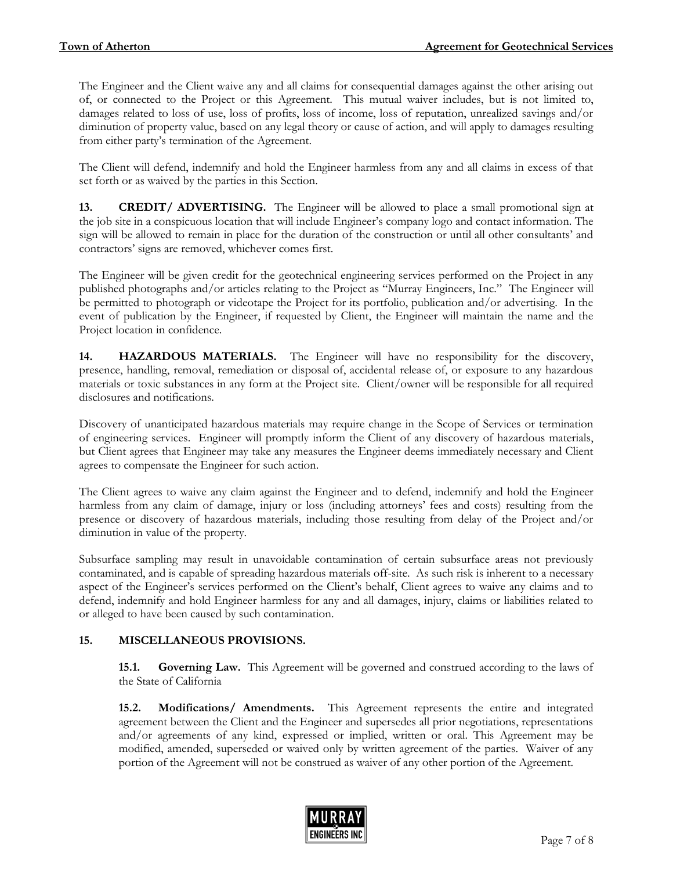The Engineer and the Client waive any and all claims for consequential damages against the other arising out of, or connected to the Project or this Agreement. This mutual waiver includes, but is not limited to, damages related to loss of use, loss of profits, loss of income, loss of reputation, unrealized savings and/or diminution of property value, based on any legal theory or cause of action, and will apply to damages resulting from either party's termination of the Agreement.

The Client will defend, indemnify and hold the Engineer harmless from any and all claims in excess of that set forth or as waived by the parties in this Section.

**13. CREDIT/ ADVERTISING.** The Engineer will be allowed to place a small promotional sign at the job site in a conspicuous location that will include Engineer's company logo and contact information. The sign will be allowed to remain in place for the duration of the construction or until all other consultants' and contractors' signs are removed, whichever comes first.

The Engineer will be given credit for the geotechnical engineering services performed on the Project in any published photographs and/or articles relating to the Project as "Murray Engineers, Inc." The Engineer will be permitted to photograph or videotape the Project for its portfolio, publication and/or advertising. In the event of publication by the Engineer, if requested by Client, the Engineer will maintain the name and the Project location in confidence.

**14. HAZARDOUS MATERIALS.** The Engineer will have no responsibility for the discovery, presence, handling, removal, remediation or disposal of, accidental release of, or exposure to any hazardous materials or toxic substances in any form at the Project site. Client/owner will be responsible for all required disclosures and notifications.

Discovery of unanticipated hazardous materials may require change in the Scope of Services or termination of engineering services. Engineer will promptly inform the Client of any discovery of hazardous materials, but Client agrees that Engineer may take any measures the Engineer deems immediately necessary and Client agrees to compensate the Engineer for such action.

The Client agrees to waive any claim against the Engineer and to defend, indemnify and hold the Engineer harmless from any claim of damage, injury or loss (including attorneys' fees and costs) resulting from the presence or discovery of hazardous materials, including those resulting from delay of the Project and/or diminution in value of the property.

Subsurface sampling may result in unavoidable contamination of certain subsurface areas not previously contaminated, and is capable of spreading hazardous materials off-site. As such risk is inherent to a necessary aspect of the Engineer's services performed on the Client's behalf, Client agrees to waive any claims and to defend, indemnify and hold Engineer harmless for any and all damages, injury, claims or liabilities related to or alleged to have been caused by such contamination.

### **15. MISCELLANEOUS PROVISIONS.**

**15.1. Governing Law.** This Agreement will be governed and construed according to the laws of the State of California

**15.2. Modifications/ Amendments.** This Agreement represents the entire and integrated agreement between the Client and the Engineer and supersedes all prior negotiations, representations and/or agreements of any kind, expressed or implied, written or oral. This Agreement may be modified, amended, superseded or waived only by written agreement of the parties. Waiver of any portion of the Agreement will not be construed as waiver of any other portion of the Agreement.

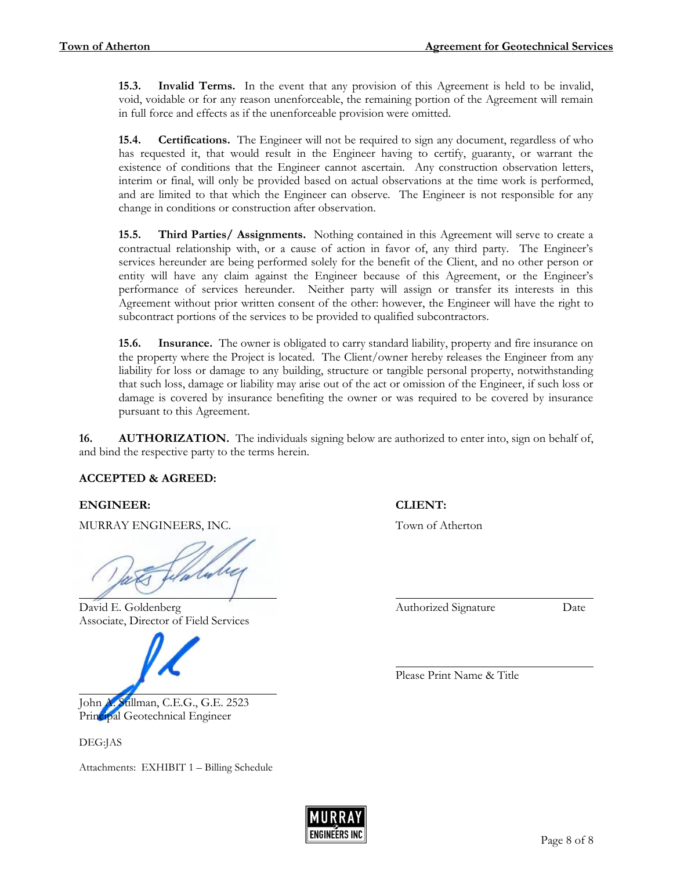**15.3. Invalid Terms.** In the event that any provision of this Agreement is held to be invalid, void, voidable or for any reason unenforceable, the remaining portion of the Agreement will remain in full force and effects as if the unenforceable provision were omitted.

**15.4. Certifications.** The Engineer will not be required to sign any document, regardless of who has requested it, that would result in the Engineer having to certify, guaranty, or warrant the existence of conditions that the Engineer cannot ascertain. Any construction observation letters, interim or final, will only be provided based on actual observations at the time work is performed, and are limited to that which the Engineer can observe. The Engineer is not responsible for any change in conditions or construction after observation.

**15.5. Third Parties/ Assignments.** Nothing contained in this Agreement will serve to create a contractual relationship with, or a cause of action in favor of, any third party. The Engineer's services hereunder are being performed solely for the benefit of the Client, and no other person or entity will have any claim against the Engineer because of this Agreement, or the Engineer's performance of services hereunder. Neither party will assign or transfer its interests in this Agreement without prior written consent of the other: however, the Engineer will have the right to subcontract portions of the services to be provided to qualified subcontractors.

**15.6. Insurance.** The owner is obligated to carry standard liability, property and fire insurance on the property where the Project is located. The Client/owner hereby releases the Engineer from any liability for loss or damage to any building, structure or tangible personal property, notwithstanding that such loss, damage or liability may arise out of the act or omission of the Engineer, if such loss or damage is covered by insurance benefiting the owner or was required to be covered by insurance pursuant to this Agreement.

**16. AUTHORIZATION.** The individuals signing below are authorized to enter into, sign on behalf of, and bind the respective party to the terms herein.

# **ACCEPTED & AGREED:**

### **ENGINEER: CLIENT:**

MURRAY ENGINEERS, INC. Town of Atherton

David E. Goldenberg **Community Community Community Community Community Community Community Community Community Community Community Community Community Community Community Community Community** Associate, Director of Field Services



John A. Stillman, C.E.G., G.E. 2523 Principal Geotechnical Engineer

DEG:JAS

Attachments: EXHIBIT 1 – Billing Schedule

Please Print Name & Title

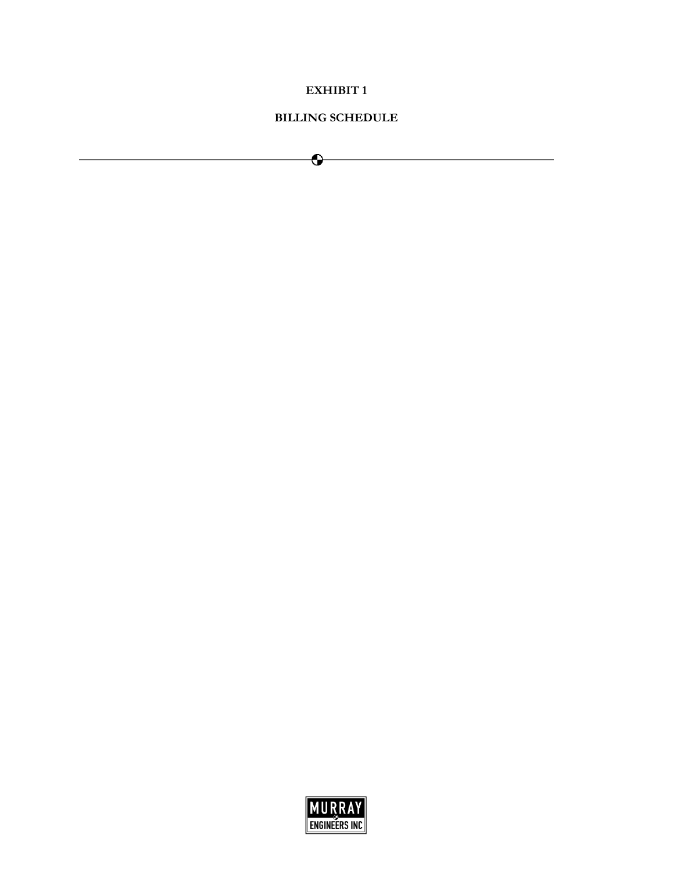### **EXHIBIT 1**

### **BILLING SCHEDULE**

 $\bullet$ 

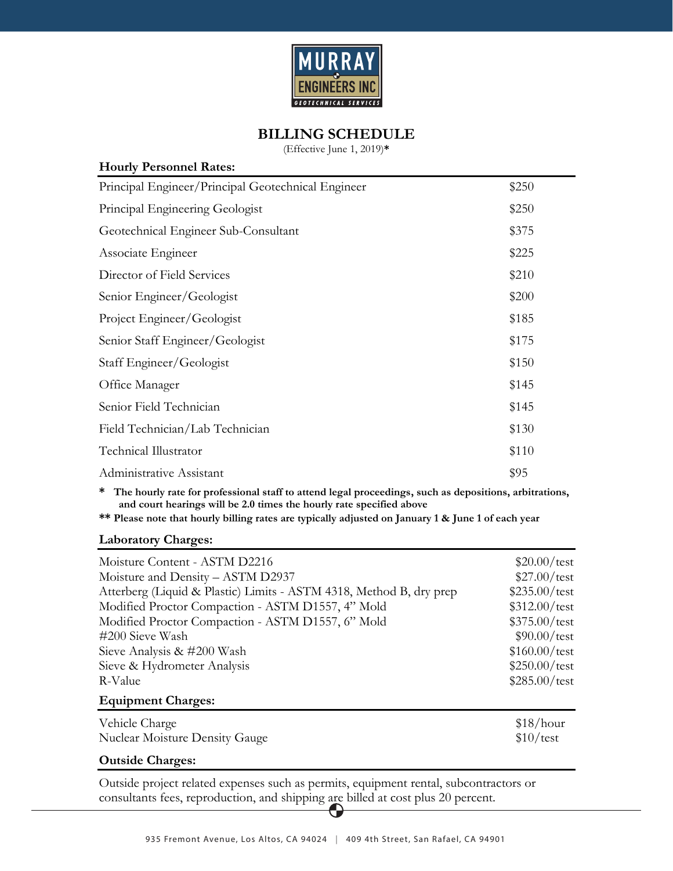

# **BILLING SCHEDULE**

(Effective June 1, 2019)**\*** 

| <b>Hourly Personnel Rates:</b>                     |       |
|----------------------------------------------------|-------|
| Principal Engineer/Principal Geotechnical Engineer | \$250 |
| Principal Engineering Geologist                    | \$250 |
| Geotechnical Engineer Sub-Consultant               | \$375 |
| Associate Engineer                                 | \$225 |
| Director of Field Services                         | \$210 |
| Senior Engineer/Geologist                          | \$200 |
| Project Engineer/Geologist                         | \$185 |
| Senior Staff Engineer/Geologist                    | \$175 |
| Staff Engineer/Geologist                           | \$150 |
| Office Manager                                     | \$145 |
| Senior Field Technician                            | \$145 |
| Field Technician/Lab Technician                    | \$130 |
| Technical Illustrator                              | \$110 |
| Administrative Assistant                           | \$95  |
|                                                    |       |

**\* The hourly rate for professional staff to attend legal proceedings, such as depositions, arbitrations, and court hearings will be 2.0 times the hourly rate specified above** 

**\*\* Please note that hourly billing rates are typically adjusted on January 1 & June 1 of each year** 

### **Laboratory Charges:**

| Moisture Content - ASTM D2216                                       | $$20.00/\text{test}$  |
|---------------------------------------------------------------------|-----------------------|
| Moisture and Density - ASTM D2937                                   | $$27.00/\text{test}$  |
| Atterberg (Liquid & Plastic) Limits - ASTM 4318, Method B, dry prep | $$235.00/\text{test}$ |
| Modified Proctor Compaction - ASTM D1557, 4" Mold                   | $$312.00/\text{test}$ |
| Modified Proctor Compaction - ASTM D1557, 6" Mold                   | $$375.00/\text{test}$ |
| #200 Sieve Wash                                                     | $$90.00/\text{test}$  |
| Sieve Analysis & #200 Wash                                          | $$160.00/\text{test}$ |
| Sieve & Hydrometer Analysis                                         | $$250.00/\text{test}$ |
| R-Value                                                             | $$285.00/\text{test}$ |
| <b>Equipment Charges:</b>                                           |                       |
| Vehicle Charge                                                      | \$18/hour             |
| <b>Nuclear Moisture Density Gauge</b>                               | \$10/test             |

### **Outside Charges:**

Outside project related expenses such as permits, equipment rental, subcontractors or consultants fees, reproduction, and shipping are billed at cost plus 20 percent.

O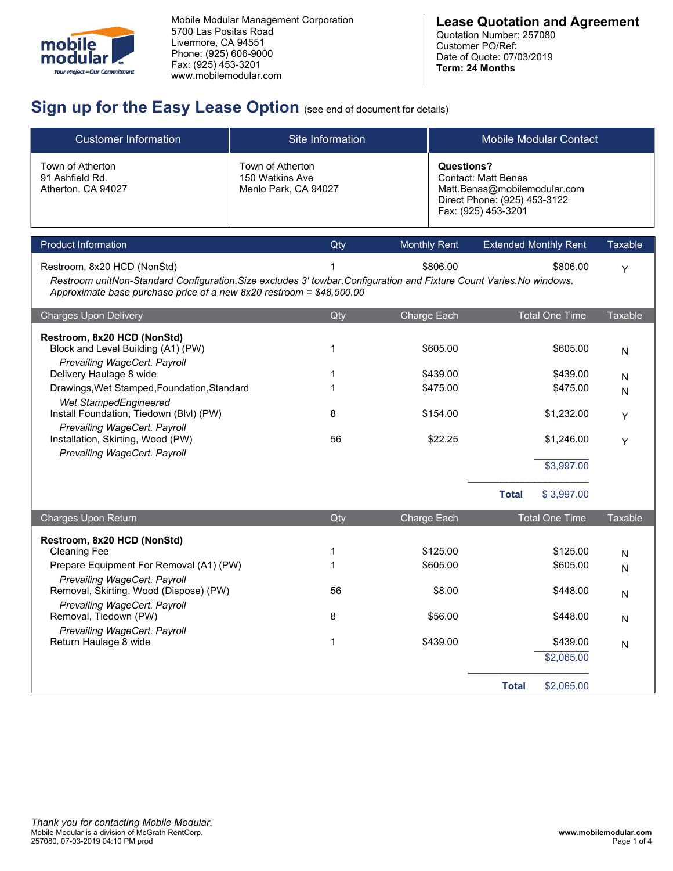

| 5700 Las Positas Road<br>Livermore, CA 94551<br>mobile<br>Phone: (925) 606-9000<br>lar<br>mo<br>Fax: (925) 453-3201<br>Your Project-Our Commitment<br>www.mobilemodular.com | Mobile Modular Management Corporation<br>Sign up for the Easy Lease Option (see end of document for details)          | <b>Lease Quotation and Agreement</b><br>Quotation Number: 257080<br>Customer PO/Ref:<br>Date of Quote: 07/03/2019<br>Term: 24 Months   |                |
|-----------------------------------------------------------------------------------------------------------------------------------------------------------------------------|-----------------------------------------------------------------------------------------------------------------------|----------------------------------------------------------------------------------------------------------------------------------------|----------------|
| <b>Customer Information</b>                                                                                                                                                 | Site Information                                                                                                      | <b>Mobile Modular Contact</b>                                                                                                          |                |
| Town of Atherton<br>91 Ashfield Rd.<br>Atherton, CA 94027                                                                                                                   | Town of Atherton<br>150 Watkins Ave<br>Menlo Park, CA 94027                                                           | <b>Questions?</b><br><b>Contact: Matt Benas</b><br>Matt.Benas@mobilemodular.com<br>Direct Phone: (925) 453-3122<br>Fax: (925) 453-3201 |                |
| <b>Product Information</b>                                                                                                                                                  | Qty                                                                                                                   | <b>Extended Monthly Rent</b><br><b>Monthly Rent</b>                                                                                    | Taxable        |
| Restroom, 8x20 HCD (NonStd)<br>Approximate base purchase price of a new 8x20 restroom = \$48,500.00                                                                         | Restroom unitNon-Standard Configuration. Size excludes 3' towbar. Configuration and Fixture Count Varies. No windows. | \$806.00<br>\$806.00                                                                                                                   | Y              |
| <b>Charges Upon Delivery</b>                                                                                                                                                | Qty                                                                                                                   | <b>Total One Time</b><br>Charge Each                                                                                                   | <b>Taxable</b> |
| Dootroom 0v20 UCD (NonCtd)                                                                                                                                                  |                                                                                                                       |                                                                                                                                        |                |

| mobile<br>modular<br>Your Project-Our Commitment                                                  | 5700 Las Positas Road<br>Livermore, CA 94551<br>Phone: (925) 606-9000<br>Fax: (925) 453-3201<br>www.mobilemodular.com | Mobile Modular Management Corporation                                                                                                                                                         |                      | <b>Lease Quotation and Agreement</b><br>Quotation Number: 257080<br>Customer PO/Ref:<br>Date of Quote: 07/03/2019<br>Term: 24 Months |                               |                   |
|---------------------------------------------------------------------------------------------------|-----------------------------------------------------------------------------------------------------------------------|-----------------------------------------------------------------------------------------------------------------------------------------------------------------------------------------------|----------------------|--------------------------------------------------------------------------------------------------------------------------------------|-------------------------------|-------------------|
|                                                                                                   |                                                                                                                       | Sign up for the Easy Lease Option (see end of document for details)                                                                                                                           |                      |                                                                                                                                      |                               |                   |
| <b>Customer Information</b><br>Town of Atherton<br>91 Ashfield Rd.<br>Atherton, CA 94027          |                                                                                                                       | Site Information<br>Town of Atherton<br>150 Watkins Ave<br>Menlo Park, CA 94027                                                                                                               | <b>Questions?</b>    | <b>Contact: Matt Benas</b><br>Matt.Benas@mobilemodular.com<br>Direct Phone: (925) 453-3122                                           | <b>Mobile Modular Contact</b> |                   |
|                                                                                                   |                                                                                                                       |                                                                                                                                                                                               |                      | Fax: (925) 453-3201                                                                                                                  |                               |                   |
| Product Information                                                                               |                                                                                                                       | Qty                                                                                                                                                                                           | <b>Monthly Rent</b>  | <b>Extended Monthly Rent</b>                                                                                                         |                               | <b>Taxable</b>    |
| Restroom, 8x20 HCD (NonStd)                                                                       |                                                                                                                       | Restroom unitNon-Standard Configuration. Size excludes 3' towbar. Configuration and Fixture Count Varies. No windows.<br>Approximate base purchase price of a new 8x20 restroom = \$48,500.00 | \$806.00             |                                                                                                                                      | \$806.00                      | Y                 |
| <b>Charges Upon Delivery</b>                                                                      |                                                                                                                       | Qty                                                                                                                                                                                           | Charge Each          |                                                                                                                                      | <b>Total One Time</b>         | <b>Taxable</b>    |
| Restroom, 8x20 HCD (NonStd)<br>Block and Level Building (A1) (PW)<br>Prevailing WageCert. Payroll |                                                                                                                       |                                                                                                                                                                                               | \$605.00             |                                                                                                                                      | \$605.00                      | N                 |
| Delivery Haulage 8 wide<br>Drawings, Wet Stamped, Foundation, Standard                            |                                                                                                                       |                                                                                                                                                                                               | \$439.00<br>\$475.00 |                                                                                                                                      | \$439.00<br>\$475.00          | $\mathsf{N}$<br>N |
| Wet StampedEngineered<br>Install Foundation, Tiedown (Blvl) (PW)<br>Prevailing WageCert. Payroll  |                                                                                                                       | 8                                                                                                                                                                                             | \$154.00             |                                                                                                                                      | \$1,232.00                    | Y                 |
| Installation, Skirting, Wood (PW)<br>Prevailing WageCert. Payroll                                 |                                                                                                                       | 56                                                                                                                                                                                            | \$22.25              |                                                                                                                                      | \$1,246.00                    | Y                 |
|                                                                                                   |                                                                                                                       |                                                                                                                                                                                               |                      | <b>Total</b>                                                                                                                         | \$3,997.00<br>\$3,997.00      |                   |
| Charges Upon Return                                                                               |                                                                                                                       | Qty                                                                                                                                                                                           | Charge Each          |                                                                                                                                      | <b>Total One Time</b>         | Taxable           |
| Restroom, 8x20 HCD (NonStd)                                                                       |                                                                                                                       |                                                                                                                                                                                               |                      |                                                                                                                                      |                               |                   |
| <b>Cleaning Fee</b><br>Prepare Equipment For Removal (A1) (PW)<br>Prevailing WageCert. Payroll    |                                                                                                                       |                                                                                                                                                                                               | \$125.00<br>\$605.00 |                                                                                                                                      | \$125.00<br>\$605.00          | ${\sf N}$<br>N    |
| Removal, Skirting, Wood (Dispose) (PW)<br>Prevailing WageCert. Payroll                            |                                                                                                                       | 56                                                                                                                                                                                            | \$8.00               |                                                                                                                                      | \$448.00                      | ${\sf N}$         |
| Removal, Tiedown (PW)<br>Prevailing WageCert. Payroll                                             |                                                                                                                       | 8                                                                                                                                                                                             | \$56.00              |                                                                                                                                      | \$448.00                      | ${\sf N}$         |
| Return Haulage 8 wide                                                                             |                                                                                                                       |                                                                                                                                                                                               | \$439.00             |                                                                                                                                      | \$439.00<br>\$2,065.00        | N                 |
|                                                                                                   |                                                                                                                       |                                                                                                                                                                                               |                      | <b>Total</b>                                                                                                                         | \$2,065.00                    |                   |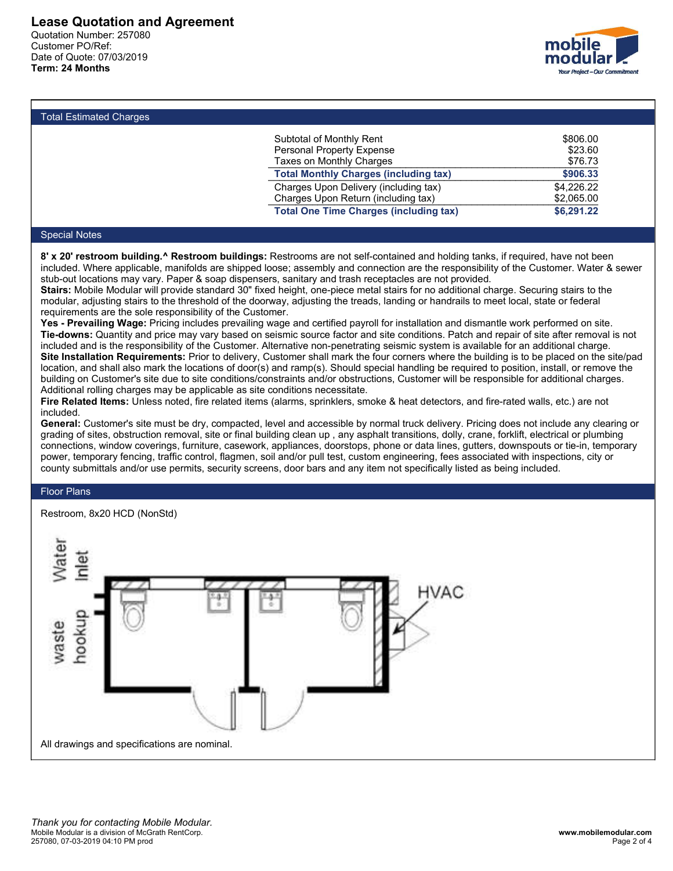Lease Quotation and Agreement<br>Quotation Number: 257080<br>Customer PO/Ref:<br>Date of Quote: 07/03/2019<br>Term: 24 Months Lease Quotation and Agreement<br>Quotation Number: 257080<br>Customer PO/Ref:<br>Date of Quote: 07/03/2019<br>Term: 24 Months Lease Quotation and Agreement<br>Quotation Number: 257080<br>Customer PO/Ref:<br>Date of Quote: 07/03/2019<br>Term: 24 Months Lease Quotation and Agreement<br>Quotation Number: 257080<br>Customer PO/Ref:<br>Date of Quote: 07/03/2019<br>Term: 24 Months<br>Total Estimated Charges Lease Quotation and Agreement<br>
Quotation Number: 257080<br>
Customer PO/Ref:<br>
Date of Quote: 07/03/2019<br>
Term: 24 Months<br>
Total Estimated Charges<br>
Subtotal of Monthly Rent



| ease Quotation and Agreement                              |                                                                                                                                                                                                                                                                                                                                                                                                                                                                                                                                                                                                                                                                                                                                                                                                                                                                                                                                                                                                                                                                                                                                                                                                                                                                                                                                                                                                  |                                                                                                                                          |
|-----------------------------------------------------------|--------------------------------------------------------------------------------------------------------------------------------------------------------------------------------------------------------------------------------------------------------------------------------------------------------------------------------------------------------------------------------------------------------------------------------------------------------------------------------------------------------------------------------------------------------------------------------------------------------------------------------------------------------------------------------------------------------------------------------------------------------------------------------------------------------------------------------------------------------------------------------------------------------------------------------------------------------------------------------------------------------------------------------------------------------------------------------------------------------------------------------------------------------------------------------------------------------------------------------------------------------------------------------------------------------------------------------------------------------------------------------------------------|------------------------------------------------------------------------------------------------------------------------------------------|
| uotation Number: 257080<br>ustomer PO/Ref:                |                                                                                                                                                                                                                                                                                                                                                                                                                                                                                                                                                                                                                                                                                                                                                                                                                                                                                                                                                                                                                                                                                                                                                                                                                                                                                                                                                                                                  | mobile                                                                                                                                   |
| ate of Quote: 07/03/2019                                  |                                                                                                                                                                                                                                                                                                                                                                                                                                                                                                                                                                                                                                                                                                                                                                                                                                                                                                                                                                                                                                                                                                                                                                                                                                                                                                                                                                                                  |                                                                                                                                          |
| rm: 24 Months                                             |                                                                                                                                                                                                                                                                                                                                                                                                                                                                                                                                                                                                                                                                                                                                                                                                                                                                                                                                                                                                                                                                                                                                                                                                                                                                                                                                                                                                  | Your Project - Our Commitmen                                                                                                             |
|                                                           |                                                                                                                                                                                                                                                                                                                                                                                                                                                                                                                                                                                                                                                                                                                                                                                                                                                                                                                                                                                                                                                                                                                                                                                                                                                                                                                                                                                                  |                                                                                                                                          |
| <b>Total Estimated Charges</b>                            |                                                                                                                                                                                                                                                                                                                                                                                                                                                                                                                                                                                                                                                                                                                                                                                                                                                                                                                                                                                                                                                                                                                                                                                                                                                                                                                                                                                                  |                                                                                                                                          |
|                                                           | Subtotal of Monthly Rent                                                                                                                                                                                                                                                                                                                                                                                                                                                                                                                                                                                                                                                                                                                                                                                                                                                                                                                                                                                                                                                                                                                                                                                                                                                                                                                                                                         | \$806.00                                                                                                                                 |
|                                                           | Personal Property Expense<br>Taxes on Monthly Charges                                                                                                                                                                                                                                                                                                                                                                                                                                                                                                                                                                                                                                                                                                                                                                                                                                                                                                                                                                                                                                                                                                                                                                                                                                                                                                                                            | \$23.60<br>\$76.73                                                                                                                       |
|                                                           | <b>Total Monthly Charges (including tax)</b>                                                                                                                                                                                                                                                                                                                                                                                                                                                                                                                                                                                                                                                                                                                                                                                                                                                                                                                                                                                                                                                                                                                                                                                                                                                                                                                                                     | \$906.33                                                                                                                                 |
|                                                           | Charges Upon Delivery (including tax)<br>Charges Upon Return (including tax)                                                                                                                                                                                                                                                                                                                                                                                                                                                                                                                                                                                                                                                                                                                                                                                                                                                                                                                                                                                                                                                                                                                                                                                                                                                                                                                     | \$4,226.22<br>\$2,065.00                                                                                                                 |
|                                                           | <b>Total One Time Charges (including tax)</b>                                                                                                                                                                                                                                                                                                                                                                                                                                                                                                                                                                                                                                                                                                                                                                                                                                                                                                                                                                                                                                                                                                                                                                                                                                                                                                                                                    | \$6,291.22                                                                                                                               |
| <b>Special Notes</b>                                      |                                                                                                                                                                                                                                                                                                                                                                                                                                                                                                                                                                                                                                                                                                                                                                                                                                                                                                                                                                                                                                                                                                                                                                                                                                                                                                                                                                                                  |                                                                                                                                          |
| requirements are the sole responsibility of the Customer. | 8' x 20' restroom building.^ Restroom buildings: Restrooms are not self-contained and holding tanks, if required, have not been<br>included. Where applicable, manifolds are shipped loose; assembly and connection are the responsibility of the Customer. Water & sewer<br>stub-out locations may vary. Paper & soap dispensers, sanitary and trash receptacles are not provided.<br>Stairs: Mobile Modular will provide standard 30" fixed height, one-piece metal stairs for no additional charge. Securing stairs to the<br>modular, adjusting stairs to the threshold of the doorway, adjusting the treads, landing or handrails to meet local, state or federal<br>Yes - Prevailing Wage: Pricing includes prevailing wage and certified payroll for installation and dismantle work performed on site.<br>Tie-downs: Quantity and price may vary based on seismic source factor and site conditions. Patch and repair of site after removal is not<br>included and is the responsibility of the Customer. Alternative non-penetrating seismic system is available for an additional charge.<br>Site Installation Requirements: Prior to delivery, Customer shall mark the four corners where the building is to be placed on the site/pad<br>location, and shall also mark the locations of door(s) and ramp(s). Should special handling be required to position, install, or remove the | building on Customer's site due to site conditions/constraints and/or obstructions, Customer will be responsible for additional charges. |

Total Estimated Charges<br>
Total Estimated Charges<br>
Total Estimated Charges<br>
Total Monthly Charges<br>
Total Monthly Charges<br>
Total Monthly Charges<br>
Total Monthly Charges<br>
Total Monthly Charges<br>
Total Monthly Charges<br>
Total Mon included and is the responsible of the customer included and included and the responsible of the responsible of the responsible of the responsibility of the Customer. The responsible of the responsible of the responsible o Total Estimated Charges<br>
Subtotal of Monthly Rent<br>
Total Monthly Charges<br>
Faxes on Monthly Charges<br>
Faxes on Monthly Charges<br>
Faxes on Monthly Charges<br>
Faxes on Monthly Charges<br>
Total Monthley Charges<br>
Total Monthley Charg Colal Estimated Charges<br>
For Substicted Monthly Charges<br>
Total Monthly Charges (including tax)<br>
Total Monthly Charges (including tax)<br>
Charges Upon Return (including tax)<br>
Special handles<br>
Special handles<br>
Special handles Fotal Estimated Charges<br>
Foton Hersical of Monthly Rent<br>
Faces on Monthly Charges<br>
Faces on Monthly Charges<br>
Total Monthly Charges<br>
Total Monthly Charges<br>
Charges Upon Delivery (including tax)<br>
Charges Upon Delivery (inclu Total Estimated Charges Substant of Monthly Rent Sates on Monthly Charges S23.60<br>
Totas Monthly Charges (including tax) 56,225<br>
Total Monthly Charges (including tax) 56,225<br>
Charges Upon Return (including tax) 56,231.22<br>
C Fire The detectors of the state of the state of the state of the state of the state of the state of the state of the state of the state of the state of the state of the state of the state of the state of the state of the s Substrate Customer's Substrated Monthly Charges S20.00<br>
Total Monthly Charges (including tax) S20.00<br>
Charges Upon Relation (including tax) S20.22<br>
Charges Upon Relation (including tax) S20.22<br>
Special Notes<br>
Special Notes Festoral Mother States Construction Traces (including tax) The Construction removal, and Construction removal, the custom removal of the site or final building clean the site of site or final or site or final or the site o Taxes on Monthly Charges (including tax)<br>
Charges Upon Relative (including tax)<br>
Charges Upon Relative (including tax)<br>
Charges Upon Relative (including tax)<br>
Space 222<br>
Space 222<br>
Space 22<br>
Space 22<br>
Space 22<br>
Space 22<br> Total Motes<br>
Special Notes<br>
Special Notes<br>
Special Notes<br>
Special Notes<br>
Special Notes<br>
Special Notes<br>
Special Notes<br>
Special Notes<br>
Special Notes<br>
Special Notes<br>
Special Notes<br>
Special Notes<br>
Special Notes<br>
Special Notes<br> Chromate Chromate Chromate Chromate Chromate Chromate Chromate (including tax)<br>
8' x 20' restriction buildings: Restroom some not elf-contained and holding tax)<br>
8' x 20' restroom buildings: Restroom some not elf-contained Total One Time Charges (including and the Charges (including a' Restroom buildings: Restrooms are not self-contained a included. Where a pplicable, manifolds are shipped loose, assembly and connection are the splical stub-Special Notes<br>
8' x 20' restroom building.<sup>6</sup> Restroom buildings: Restrooms are not self-contained and holding tanks<br>
included. Where applicable, manifolds are shipped loose; assembly and connection are the responsibility<br>

included.

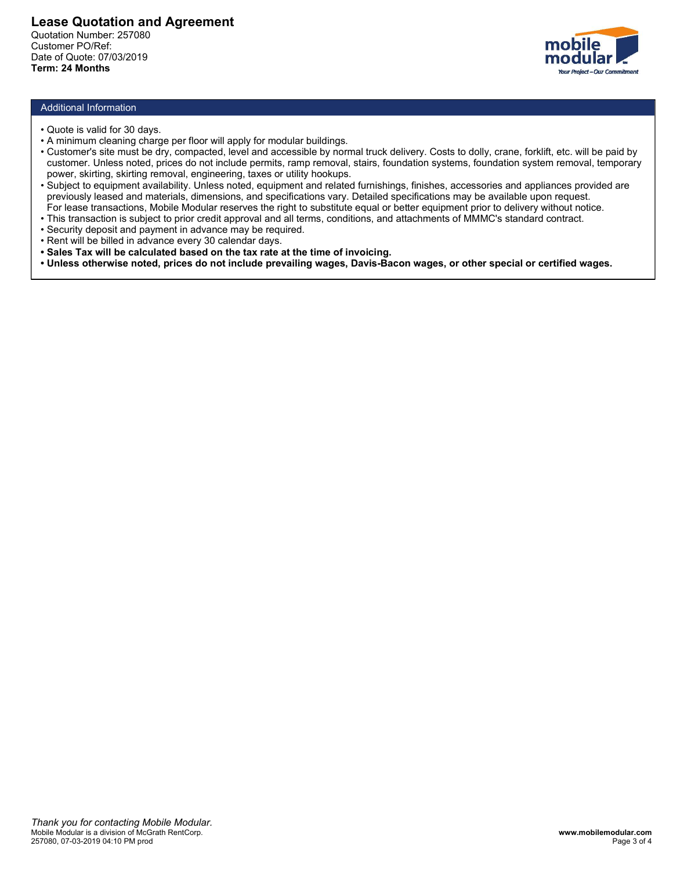

- 
- 
- **ease Quotation and Agreement**<br>
uotation Number: 257080<br>
ustomer PO/Ref:<br>
ite of Quote: 07/03/2019<br>
Prim: **24 Months**<br>
Additional Information<br>
 Quote is valid for 30 days.<br>
 A minimum cleaning charge per floor will apply **ease Quotation and Agreement**<br>
ustatione PO/Ref:<br>
ustationer PO/Ref:<br>
tate of Quote: 07/03/2019<br> **Additional Information**<br>
• Quote is valid for 30 days.<br>
• A minimum cleaning charge per floor will apply for modular build **Example 20**<br> **Example 20:00 Conder to Clude is valid for 30 days.**<br> **Additional Information**<br>
• A minimum cleaning charge per floor will apply for modular buildings.<br>
• A minimum cleaning charge per floor will apply for **ease Quotation and Agreement<br>
blackioner PORef:**<br>
tate of Quote: 07/03/2019<br> **Additional Information**<br> **Additional Information**<br> **Additional Information**<br> **Additional Information**<br> **Customer's site ming charge per floor w Example 2010 Custom and Agreement<br>
Additional Information<br>
• Cuote is valid for 30 days.<br>
• Cuote is valid for 30 days.<br>
• Cuote is valid for 30 days.<br>
• Customer's site must be dry, compacted, level and accessible by nor Example 12**<br>
• **power, skirting, skirting removal, and the set of the set of California in the Set of Quote:** 07/03/2019<br>
• **Anditional Information**<br>
• A minimum deaning charge per floor will apply for modular buildings.<br> **Example 10**<br> **Example 10**<br> **Example 10**<br> **Example 10**<br> **Example 10**<br> **Example 10**<br> **Example 10**<br> **Example 10**<br> **Example 10**<br> **Example 10**<br> **Example 10**<br> **Example 10**<br> **Example 10**<br> **Example 10**<br> **Example 10**<br> **Example 10 Example 18 Contained and Agreement<br>
Station Number: 257080<br>
Inoldinary and Agreement<br>
Here Couse: 07/03/2019<br>
Additional Information<br>
Cause is the must be dy-<br>
Additional Information<br>
Cause is the must be dy-, compared by Example Quotation and Agreement<br>
• Societion is transference (SOR)<br>
• The Clube: 07/03/2019<br>
• This transmit deferal and angle per floor will apply for modular buildings.<br>
• Antihium cheaping change per floor will apply f Example 10**<br>
• Security deposite and Agreement<br>
• Security of the Counter 257080<br>
• Clubte: 07/03/2019<br>
• Clubte: 07/03/2019<br>
• Clubte: 07/03/2019<br>
• Clubter's stem units be dry, compared by lay by for modular buildings.<br> **Example 20**<br>
• Rent will be calenter Policine and Agreement<br>
the of Quote: 77080<br>
• Rentiming channel policine and the division of Days.<br>
• Rentiming channel advants of a days.<br>
• Antihium cheating change per floor will a **Example 20**<br> **Example 2018 Additional Information**<br>
interaction Police 120080<br>
The calculated based on the tax will apply for modular buildings.<br>
The calculated based on the calculated based on the tax rate at the tax rat **Example Curotation and Agreement**<br> **enders Wurenber 257080**<br>
Internation Mumber 257080<br>
Here Charles Constants<br>
The Charles Constants<br>
Additional Information<br>
Additional Information<br>
4. A minimum detaning charge per flo
- 
- 
- 
- 
- 
-